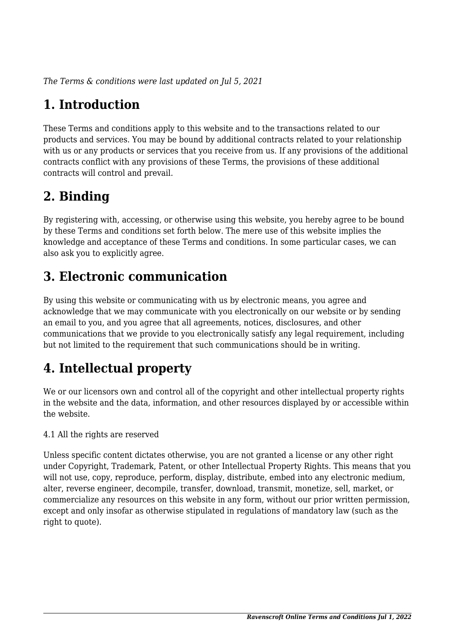*The Terms & conditions were last updated on Jul 5, 2021*

# **1. Introduction**

These Terms and conditions apply to this website and to the transactions related to our products and services. You may be bound by additional contracts related to your relationship with us or any products or services that you receive from us. If any provisions of the additional contracts conflict with any provisions of these Terms, the provisions of these additional contracts will control and prevail.

## **2. Binding**

By registering with, accessing, or otherwise using this website, you hereby agree to be bound by these Terms and conditions set forth below. The mere use of this website implies the knowledge and acceptance of these Terms and conditions. In some particular cases, we can also ask you to explicitly agree.

## **3. Electronic communication**

By using this website or communicating with us by electronic means, you agree and acknowledge that we may communicate with you electronically on our website or by sending an email to you, and you agree that all agreements, notices, disclosures, and other communications that we provide to you electronically satisfy any legal requirement, including but not limited to the requirement that such communications should be in writing.

# **4. Intellectual property**

We or our licensors own and control all of the copyright and other intellectual property rights in the website and the data, information, and other resources displayed by or accessible within the website.

4.1 All the rights are reserved

Unless specific content dictates otherwise, you are not granted a license or any other right under Copyright, Trademark, Patent, or other Intellectual Property Rights. This means that you will not use, copy, reproduce, perform, display, distribute, embed into any electronic medium, alter, reverse engineer, decompile, transfer, download, transmit, monetize, sell, market, or commercialize any resources on this website in any form, without our prior written permission, except and only insofar as otherwise stipulated in regulations of mandatory law (such as the right to quote).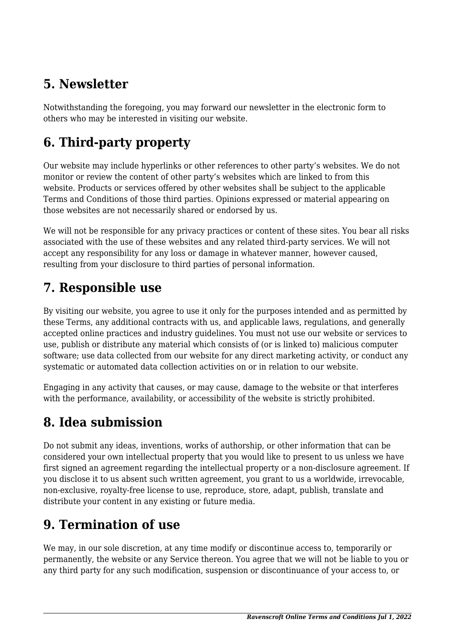## **5. Newsletter**

Notwithstanding the foregoing, you may forward our newsletter in the electronic form to others who may be interested in visiting our website.

# **6. Third-party property**

Our website may include hyperlinks or other references to other party's websites. We do not monitor or review the content of other party's websites which are linked to from this website. Products or services offered by other websites shall be subject to the applicable Terms and Conditions of those third parties. Opinions expressed or material appearing on those websites are not necessarily shared or endorsed by us.

We will not be responsible for any privacy practices or content of these sites. You bear all risks associated with the use of these websites and any related third-party services. We will not accept any responsibility for any loss or damage in whatever manner, however caused, resulting from your disclosure to third parties of personal information.

### **7. Responsible use**

By visiting our website, you agree to use it only for the purposes intended and as permitted by these Terms, any additional contracts with us, and applicable laws, regulations, and generally accepted online practices and industry guidelines. You must not use our website or services to use, publish or distribute any material which consists of (or is linked to) malicious computer software; use data collected from our website for any direct marketing activity, or conduct any systematic or automated data collection activities on or in relation to our website.

Engaging in any activity that causes, or may cause, damage to the website or that interferes with the performance, availability, or accessibility of the website is strictly prohibited.

## **8. Idea submission**

Do not submit any ideas, inventions, works of authorship, or other information that can be considered your own intellectual property that you would like to present to us unless we have first signed an agreement regarding the intellectual property or a non-disclosure agreement. If you disclose it to us absent such written agreement, you grant to us a worldwide, irrevocable, non-exclusive, royalty-free license to use, reproduce, store, adapt, publish, translate and distribute your content in any existing or future media.

## **9. Termination of use**

We may, in our sole discretion, at any time modify or discontinue access to, temporarily or permanently, the website or any Service thereon. You agree that we will not be liable to you or any third party for any such modification, suspension or discontinuance of your access to, or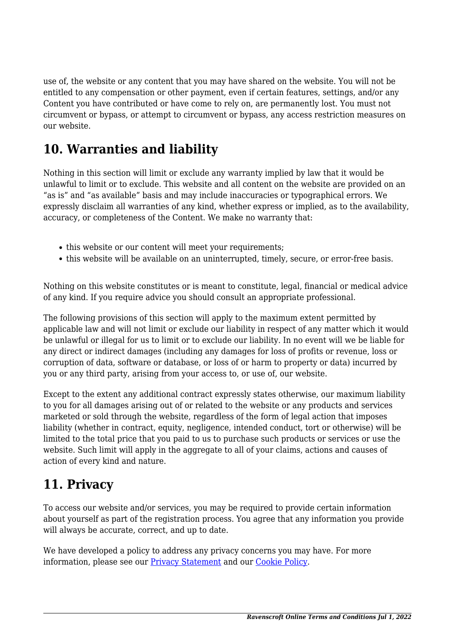use of, the website or any content that you may have shared on the website. You will not be entitled to any compensation or other payment, even if certain features, settings, and/or any Content you have contributed or have come to rely on, are permanently lost. You must not circumvent or bypass, or attempt to circumvent or bypass, any access restriction measures on our website.

### **10. Warranties and liability**

Nothing in this section will limit or exclude any warranty implied by law that it would be unlawful to limit or to exclude. This website and all content on the website are provided on an "as is" and "as available" basis and may include inaccuracies or typographical errors. We expressly disclaim all warranties of any kind, whether express or implied, as to the availability, accuracy, or completeness of the Content. We make no warranty that:

- this website or our content will meet your requirements;
- this website will be available on an uninterrupted, timely, secure, or error-free basis.

Nothing on this website constitutes or is meant to constitute, legal, financial or medical advice of any kind. If you require advice you should consult an appropriate professional.

The following provisions of this section will apply to the maximum extent permitted by applicable law and will not limit or exclude our liability in respect of any matter which it would be unlawful or illegal for us to limit or to exclude our liability. In no event will we be liable for any direct or indirect damages (including any damages for loss of profits or revenue, loss or corruption of data, software or database, or loss of or harm to property or data) incurred by you or any third party, arising from your access to, or use of, our website.

Except to the extent any additional contract expressly states otherwise, our maximum liability to you for all damages arising out of or related to the website or any products and services marketed or sold through the website, regardless of the form of legal action that imposes liability (whether in contract, equity, negligence, intended conduct, tort or otherwise) will be limited to the total price that you paid to us to purchase such products or services or use the website. Such limit will apply in the aggregate to all of your claims, actions and causes of action of every kind and nature.

### **11. Privacy**

To access our website and/or services, you may be required to provide certain information about yourself as part of the registration process. You agree that any information you provide will always be accurate, correct, and up to date.

We have developed a policy to address any privacy concerns you may have. For more information, please see our **Privacy Statement** and our **[Cookie Policy](https://www.ravenscroftonline.com/cookie-policy/)**.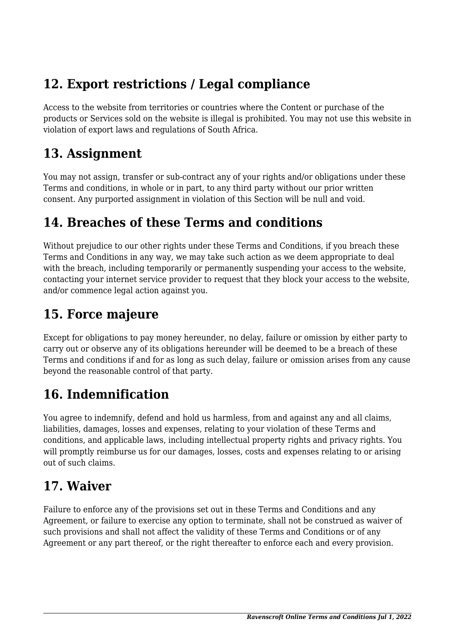## **12. Export restrictions / Legal compliance**

Access to the website from territories or countries where the Content or purchase of the products or Services sold on the website is illegal is prohibited. You may not use this website in violation of export laws and regulations of South Africa.

#### **13. Assignment**

You may not assign, transfer or sub-contract any of your rights and/or obligations under these Terms and conditions, in whole or in part, to any third party without our prior written consent. Any purported assignment in violation of this Section will be null and void.

### **14. Breaches of these Terms and conditions**

Without prejudice to our other rights under these Terms and Conditions, if you breach these Terms and Conditions in any way, we may take such action as we deem appropriate to deal with the breach, including temporarily or permanently suspending your access to the website, contacting your internet service provider to request that they block your access to the website, and/or commence legal action against you.

## **15. Force majeure**

Except for obligations to pay money hereunder, no delay, failure or omission by either party to carry out or observe any of its obligations hereunder will be deemed to be a breach of these Terms and conditions if and for as long as such delay, failure or omission arises from any cause beyond the reasonable control of that party.

# **16. Indemnification**

You agree to indemnify, defend and hold us harmless, from and against any and all claims, liabilities, damages, losses and expenses, relating to your violation of these Terms and conditions, and applicable laws, including intellectual property rights and privacy rights. You will promptly reimburse us for our damages, losses, costs and expenses relating to or arising out of such claims.

## **17. Waiver**

Failure to enforce any of the provisions set out in these Terms and Conditions and any Agreement, or failure to exercise any option to terminate, shall not be construed as waiver of such provisions and shall not affect the validity of these Terms and Conditions or of any Agreement or any part thereof, or the right thereafter to enforce each and every provision.